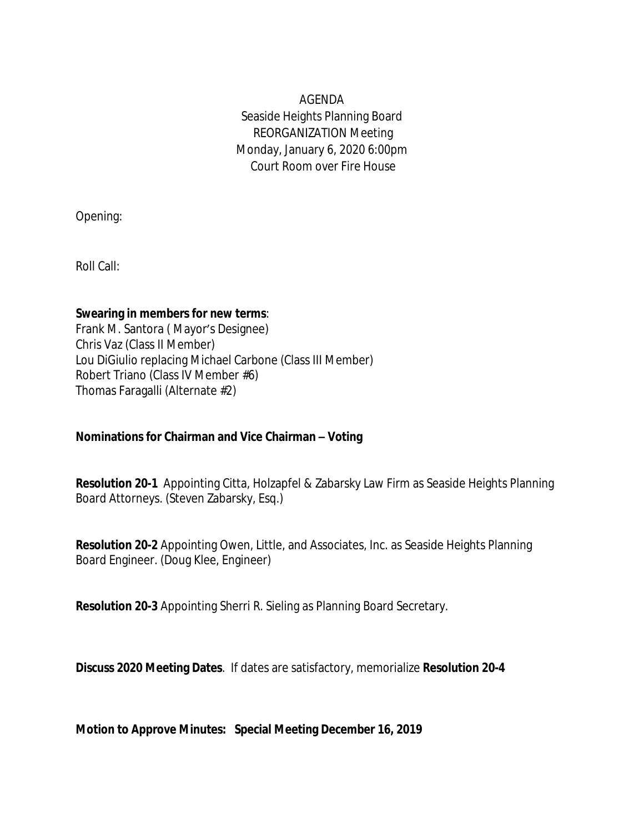AGENDA Seaside Heights Planning Board REORGANIZATION Meeting Monday, January 6, 2020 6:00pm Court Room over Fire House

Opening:

Roll Call:

### **Swearing in members for new terms**:

Frank M. Santora ( Mayor's Designee) Chris Vaz (Class II Member) Lou DiGiulio replacing Michael Carbone (Class III Member) Robert Triano (Class IV Member #6) Thomas Faragalli (Alternate #2)

# **Nominations for Chairman and Vice Chairman – Voting**

**Resolution 20-1** Appointing Citta, Holzapfel & Zabarsky Law Firm as Seaside Heights Planning Board Attorneys. (Steven Zabarsky, Esq.)

**Resolution 20-2** Appointing Owen, Little, and Associates, Inc. as Seaside Heights Planning Board Engineer. (Doug Klee, Engineer)

**Resolution 20-3** Appointing Sherri R. Sieling as Planning Board Secretary.

**Discuss 2020 Meeting Dates**. If dates are satisfactory, memorialize **Resolution 20-4**

**Motion to Approve Minutes: Special Meeting December 16, 2019**